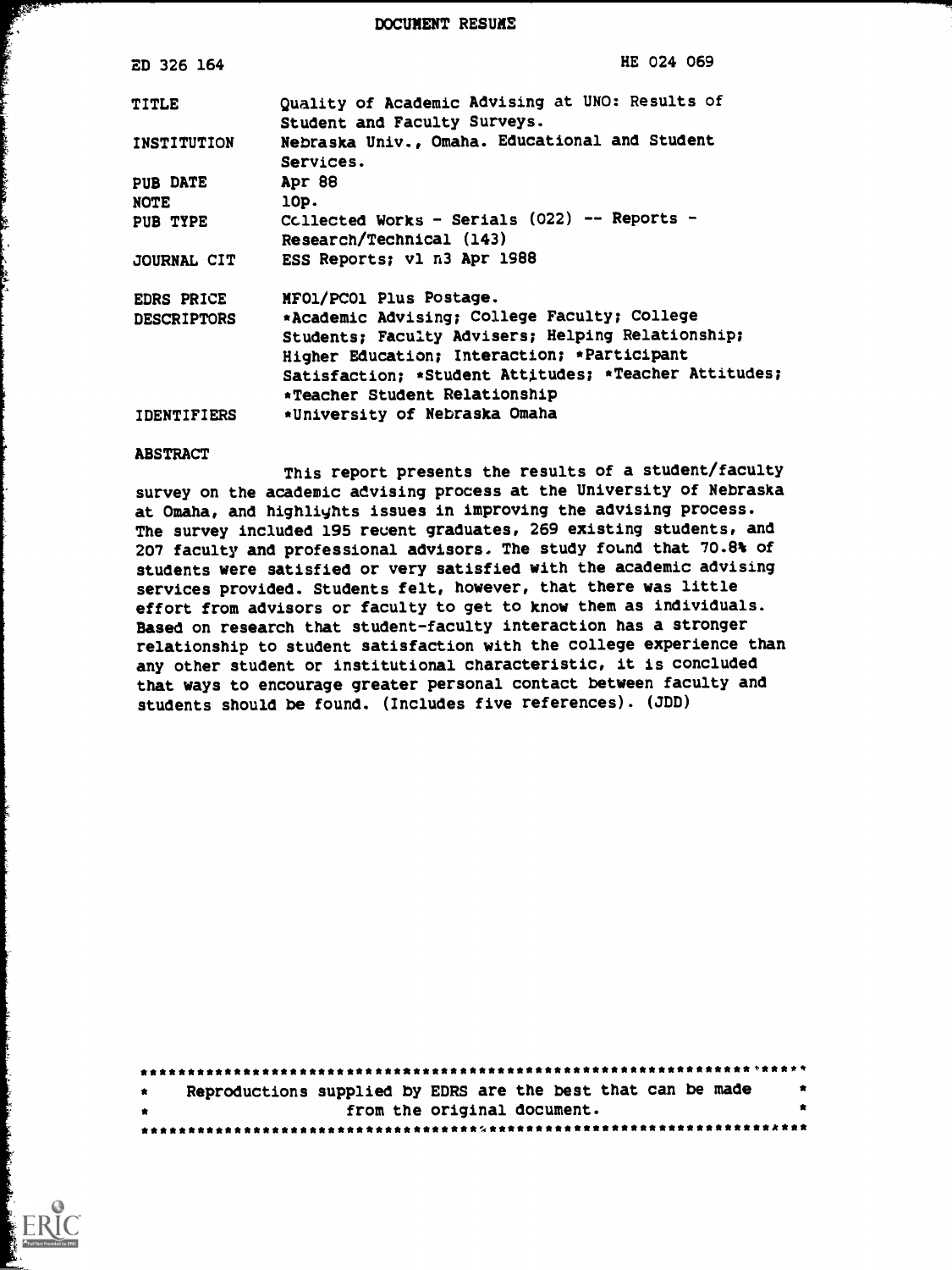DOCUMENT RESUME

| <b>ED 326 164</b>  | HE 024 069                                                                      |
|--------------------|---------------------------------------------------------------------------------|
| <b>TITLE</b>       | Quality of Academic Advising at UNO: Results of<br>Student and Faculty Surveys. |
| INSTITUTION        | Nebraska Univ., Omaha. Educational and Student<br>Services.                     |
| <b>PUB DATE</b>    | Apr 88                                                                          |
| <b>NOTE</b>        | 10p.                                                                            |
| PUB TYPE           | Collected Works - Serials (022) -- Reports -<br>Research/Technical (143)        |
| JOURNAL CIT        | ESS Reports; vl n3 Apr 1988                                                     |
| <b>EDRS PRICE</b>  | MFO1/PCO1 Plus Postage.                                                         |
| <b>DESCRIPTORS</b> | *Academic Advising; College Faculty; College                                    |
|                    | Students; Faculty Advisers; Helping Relationship;                               |
|                    | Higher Education; Interaction; *Participant                                     |
|                    | Satisfaction; *Student Attitudes; *Teacher Attitudes;                           |
|                    | *Teacher Student Relationship                                                   |
| <b>IDENTIFIERS</b> | *University of Nebraska Omaha                                                   |

#### ABSTRACT

 $\mathcal{R}$ 

This report presents the results of a student/faculty survey on the academic advising process at the University of Nebraska at Omaha, and highlights issues in improving the advising process. The survey included 195 recent graduates, 269 existing students, and 207 faculty and professional advisors. The study found that 70.8% of students were satisfied or very satisfied with the academic advising services provided. Students felt, however, that there was little effort from advisors or faculty to get to know them as individuals. Based on research that student-faculty interaction has a stronger relationship to student satisfaction with the college experience than any other student or institutional characteristic, it is concluded that ways to encourage greater personal contact between faculty and students should be found. (Includes five references). (JDD)

| $\ddot{\mathbf{x}}$ | Reproductions supplied by EDRS are the best that can be made |  |                             |  | $\bullet$ |
|---------------------|--------------------------------------------------------------|--|-----------------------------|--|-----------|
| $\bullet$           |                                                              |  | from the original document. |  |           |
|                     |                                                              |  |                             |  |           |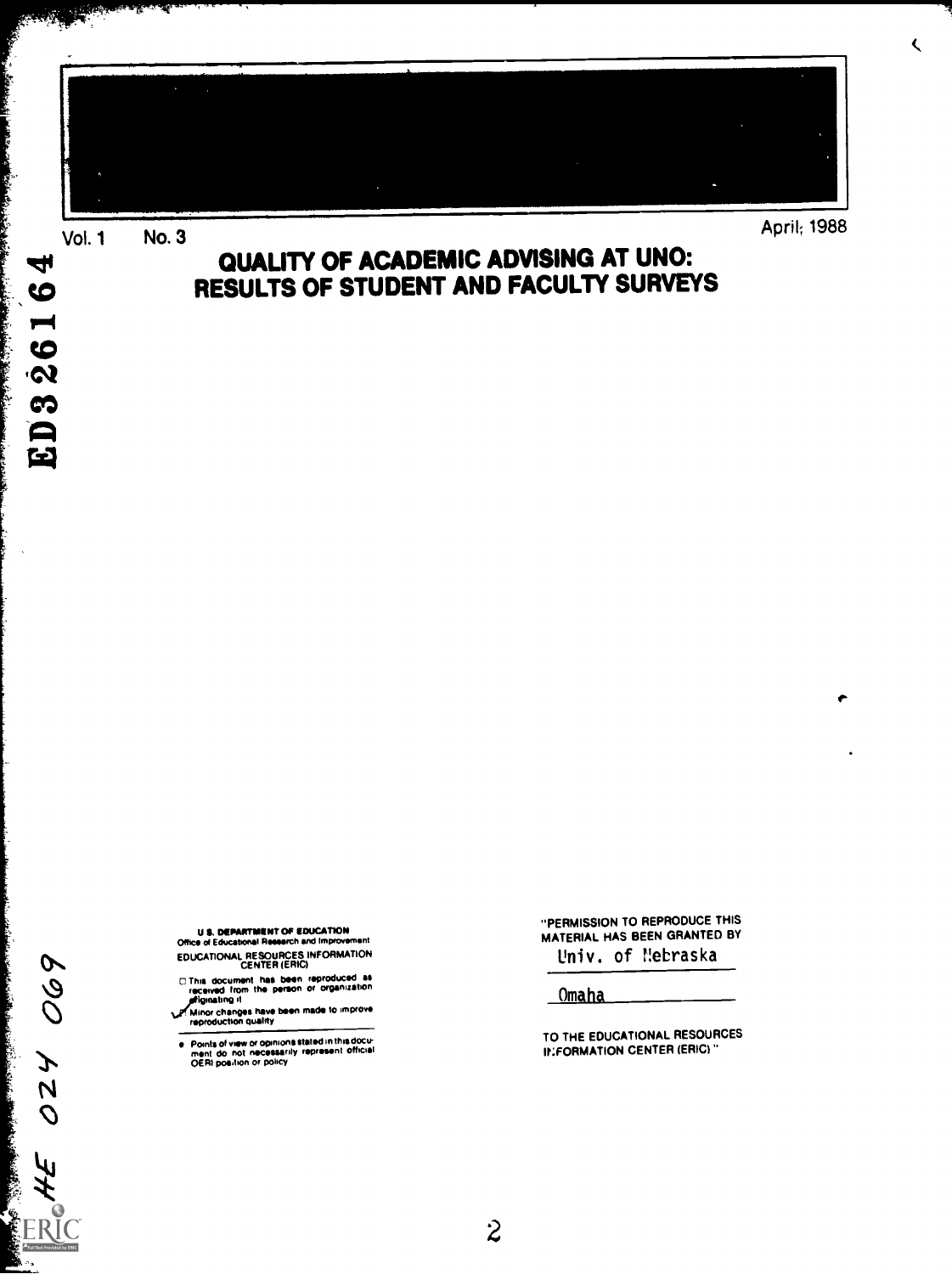

**Vol. 1 No. 3** 

a Pi

ap.

Ŀ

**SALAMA LA SALA LA SALA** 

in die de de la familie de la familie de la familie de la familie de

4

 $\bullet$  $\blacksquare$ 

 $\bullet$  $\dot{\mathbf{z}}$ ങ  $\blacksquare$  $\overline{\mathbf{r}}$ 

28)

# QUALITY OF ACADEMIC ADVISING AT UNO: RESULTS OF STUDENT AND FACULTY SURVEYS

**U.S. DEPARTMENT OF EDUCATION** Office of Educational Research and Improvement

EDUCATIONAL RESOURCES INFORMATION

C This document has been reproduced as<br>received from the person or organization<br>priginating it

Minor changes have been made to improve<br>reproduction quality

Points of view or opinions stated in this document do not necessarily represent official<br>ment do not necessarily represent official<br>OERI position or policy  $\bullet$ 

"PERMISSION TO REPRODUCE THIS MATERIAL HAS BEEN GRANTED BY Univ. of Mebraska

 $\overline{\mathbf{C}}$ 

Omaha

TO THE EDUCATIONAL RESOURCES **INFORMATION CENTER (ERIC)** 

069  $\boldsymbol{z}$  $\overline{\mathsf{N}}$  $\mathcal{O}$ IJ **ERIC** 

ļ.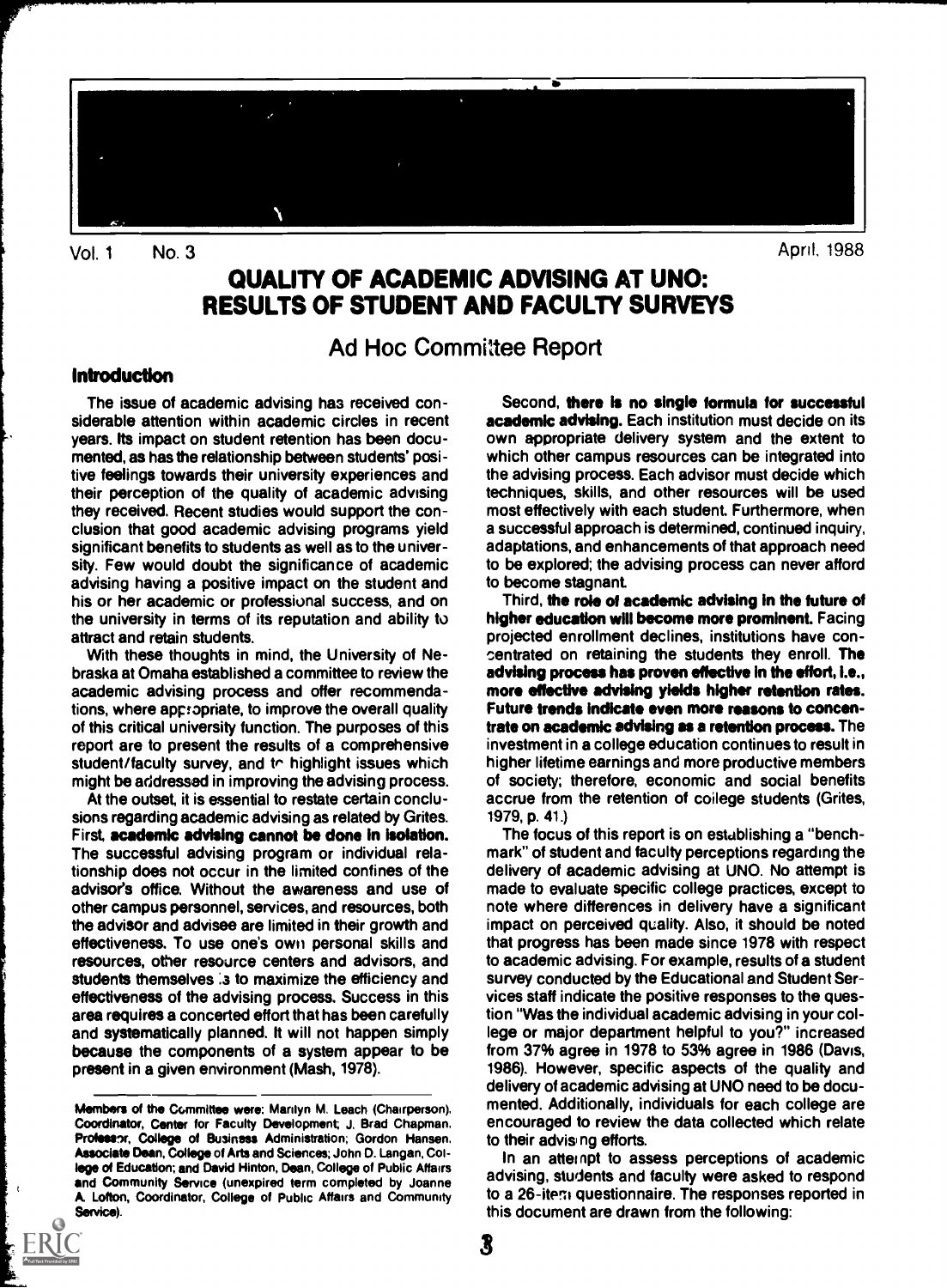

Vol. 1 No. 3

April, 1988

# QUALITY OF ACADEMIC ADVISING AT UNO: RESULTS OF STUDENT AND FACULTY SURVEYS

Ad Hoc Committee Report

#### Introduction

The issue of academic advising haa received considerable attention within academic circles in recent years. Its impact on student retention has been documented, as has the relationship between students' positive feelings towards their university experiences and their perception of the quality of academic advising they received. Recent studies would support the conclusion that good academic advising programs yield significant benefits to students as well as to the university. Few would doubt the significance of academic advising having a positive impact on the student and his or her academic or professional success, and on the university in terms of its reputation and ability to attract and retain students.

With these thoughts in mind, the University of Nebraska at Omaha established a committee to review the academic advising process and offer recommendations, where appropriate, to improve the overall quality of this critical university function. The purposes of this report are to present the results of a comprehensive student/faculty survey, and to highlight issues which might be addressed in improving the advising process.

At the outset, it is essential to restate certain conclusions regarding academic advising as related by Grites. First, academic advising cannot be done in isolation. The successful advising program or individual relationship does not occur in the limited confines of the advisor's office. Without the awareness and use of other campus personnel, services, and resources, both the advisor and advisee are limited in their growth and effectiveness. To use one's own personal skills and resources, other resource centers and advisors, and students themselves is to maximize the efficiency and effectiveness of the advising process. Success in this area requires a concerted effort that has been carefully and systematically planned. It will not happen simply because the components of a system appear to be present in a given environment (Mash, 1978).

Second, there is no single formula for successful **academic advising.** Each institution must decide on its own appropriate delivery system and the extent to which other campus resources can be integrated into the advising process. Each advisor must decide which techniques, skills, and other resources will be used most effectively with each student. Furthermore, when a successful approach is determined, continued inquiry, adaptations, and enhancements of that approach need to be explored; the advising process can never afford to become stagnant

Third, the role of academic advising in the future of higher education will become more prominent. Facing projected enrollment declines, institutions have concentrated on retaining the students they enroll. The advising process has proven effective in the effort, i.e., more effective advising yields higher retention rates. Future trends indicate even more reasons to concentrate on academic advising as a retention process. The investment in a college education continues to result in higher lifetime earnings and more productive members of society; therefore, economic and social benefits accrue from the retention of coilege students (Grites, 1979, p. 41.)

The focus of this report is on estublishing a "benchmark" of student and faculty perceptions regarding the delivery of academic advising at UNO. No attempt is made to evaluate specific college practices, except to note where differences in delivery have a significant impact on perceived quality. Also, it should be noted that progress has been made since 1978 with respect to academic advising. For example, results of a student survey conducted by the Educational and Student Services staff indicate the positive responses to the question "Was the individual academic advising in your college or major department helpful to you?" increased from 37% agree in 1978 to 53% agree in 1986 (Davis, 1986). However, specific aspects of the quality and delivery of academic advising at UNO need to be documented. Additionally, individuals for each college are encouraged to review the data collected which relate to their advising efforts.

In an attempt to assess perceptions of academic advising, students and faculty were asked to respond to a 26-itera questionnaire. The responses reported in this document are drawn from the following:

Members of the Committee were: Marilyn M. Leach (Chairperson), Coordinator, Center for Faculty Development; J. Brad Chapman. Professor, College of Business Administration; Gordon Hansen, Associate Dean, College of Arts and Sciences; John D. Langan, College of Education; and David Hinton, Dean, College of Public Affairs and Community Service (unexpired term completed by Joanne A. Lofton, Coordinator, College of Public Affairs and Community Service).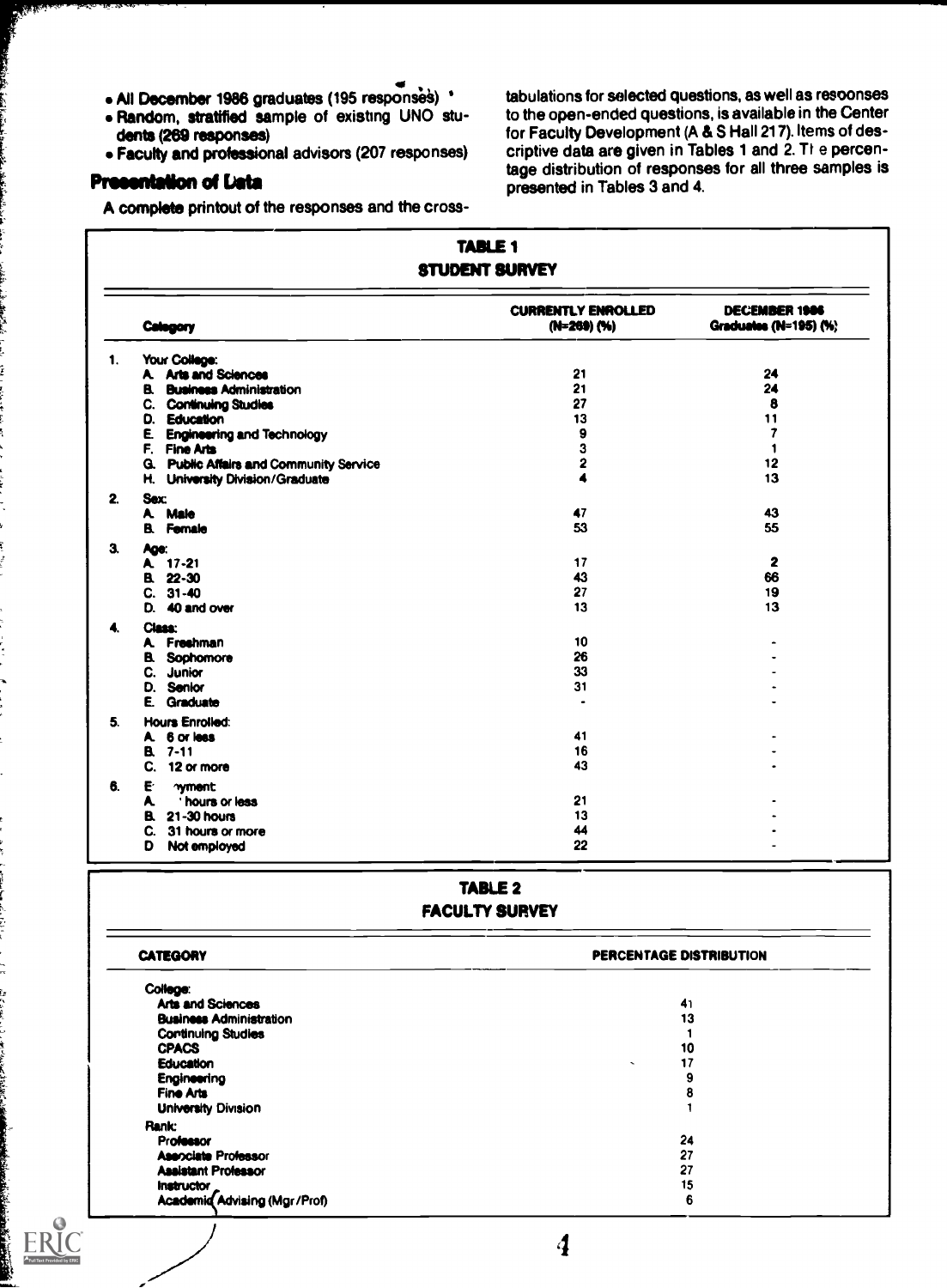- All December 1986 graduates (195 response§) '
- Random, stratified sample of existing UNO students (289 responses)
- Faculty and professional advisors (207 responses)

### Presentation of Data

A complete printout of the responses and the cross-

tabulations for selected questions, as well as resoonses to the open-ended questions, is available in the Center for Faculty Development (A & S Hall 217). Items of descriptive data are given in Tables 1 and 2. The percentage distribution of responses for all three samples is presented in Tables 3 and 4.

|    | <b>TABLE 1</b><br><b>STUDENT SURVEY</b>        |                                          |                                               |  |
|----|------------------------------------------------|------------------------------------------|-----------------------------------------------|--|
|    | Category                                       | <b>CURRENTLY ENROLLED</b><br>(N=269) (%) | <b>DECEMBER 1906</b><br>Graduates (N=195) (%) |  |
| 1. | Your College:                                  |                                          |                                               |  |
|    | A Arts and Sciences                            | 21                                       | 24                                            |  |
|    | <b>B.</b> Business Administration              | 21                                       | 24                                            |  |
|    | C. Continuing Studies                          | 27                                       | 8                                             |  |
|    | D. Education                                   | 13                                       | 11                                            |  |
| E. | <b>Engineering and Technology</b>              | 9                                        | 7                                             |  |
|    | F. Fine Arts                                   | 3                                        | 1                                             |  |
|    | <b>G.</b> Public Affairs and Community Service | 2                                        | 12                                            |  |
| н. | <b>University Division/Graduate</b>            | 4                                        | 13                                            |  |
|    | <b>Sex:</b>                                    |                                          |                                               |  |
|    | A Male                                         | 47                                       | 43                                            |  |
|    | <b>B.</b> Female                               | 53                                       | 55                                            |  |
|    | Age:                                           |                                          |                                               |  |
|    | A 17-21                                        | 17                                       | 2                                             |  |
|    | B. 22-30                                       | 43                                       | 66                                            |  |
|    | $C. 31-40$                                     | 27                                       | 19                                            |  |
| D. | 40 and over                                    | 13                                       | 13                                            |  |
|    | Class:                                         |                                          |                                               |  |
|    | A. Freshman                                    | 10                                       |                                               |  |
|    | <b>B.</b> Sophomore                            | 26                                       |                                               |  |
| C. | Junior                                         | 33                                       |                                               |  |
|    | D. Senior                                      | 31                                       |                                               |  |
| Ē. | Graduate                                       | ٠                                        |                                               |  |
|    | <b>Hours Enrolled:</b>                         |                                          |                                               |  |
|    | A 6 or less                                    | 41                                       |                                               |  |
|    | B. 7-11                                        | 16                                       |                                               |  |
| C. | 12 or more                                     | 43                                       |                                               |  |
| E  | <b>wment</b>                                   |                                          |                                               |  |
| A  | hours or less                                  | 21                                       |                                               |  |
| B. | 21-30 hours                                    | 13                                       |                                               |  |
| C. | 31 hours or more                               | 44                                       |                                               |  |
| D  |                                                | 22                                       |                                               |  |
|    | Not employed                                   |                                          |                                               |  |

### TABLE 2 FACULTY SURVEY

| <b>CATEGORY</b>                     | PERCENTAGE DISTRIBUTION     |  |  |
|-------------------------------------|-----------------------------|--|--|
| College:                            |                             |  |  |
| <b>Arts and Sciences</b>            | 41                          |  |  |
| <b>Business Administration</b>      | 13                          |  |  |
| <b>Continuing Studies</b>           |                             |  |  |
| <b>CPACS</b>                        | 10                          |  |  |
| Education                           | 17<br>$\tilde{\phantom{a}}$ |  |  |
| <b>Engineering</b>                  | 9                           |  |  |
| Fine Arts                           | 8                           |  |  |
| <b>University Division</b>          |                             |  |  |
|                                     |                             |  |  |
| <b>Rank:</b>                        |                             |  |  |
| <b>Professor</b>                    | 24                          |  |  |
| <b>Asenciate Professor</b>          | 27                          |  |  |
| <b>Assistant Professor</b>          | 27                          |  |  |
| Instructor                          | 15                          |  |  |
| <b>Academid Advising (Mgr/Prof)</b> | 6                           |  |  |
|                                     |                             |  |  |
|                                     |                             |  |  |
|                                     |                             |  |  |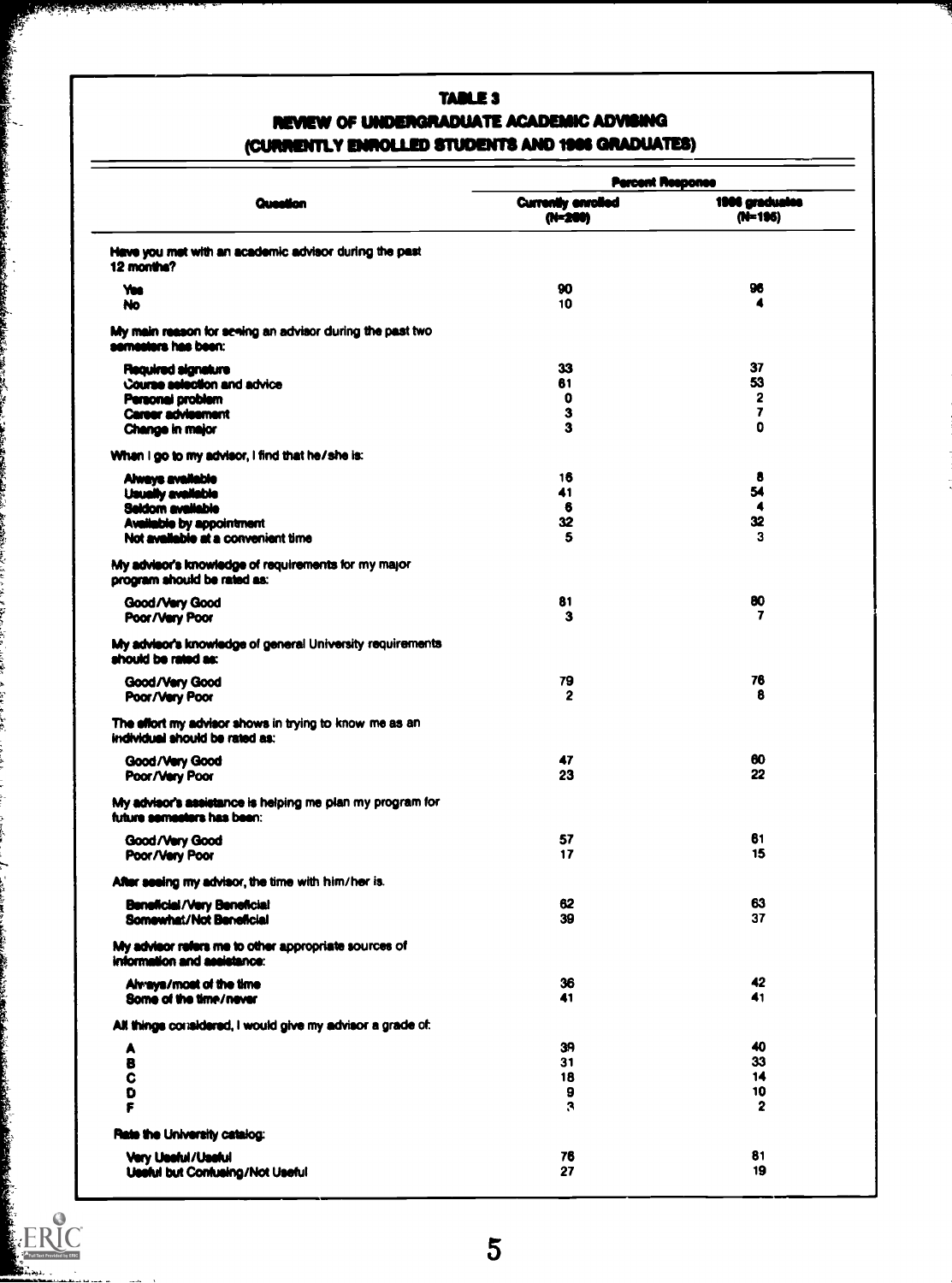# TABLE 3 REVIEW OF UNDERGRADUATE ACADEMIC ADVISING (CURRENTLY ENROLLED STUDENTS AND 1906 GRADUATES)

Č.

**Andrew Charles Andrew**<br>Andrew Charles Andrew

|                                                                                          | <b>Percent Response</b>              |                             |  |
|------------------------------------------------------------------------------------------|--------------------------------------|-----------------------------|--|
| Question                                                                                 | <b>Currently enrolled</b><br>(N=200) | 1986 graduales<br>$(N-196)$ |  |
| Heve you met with an academic advisor during the past<br>12 months?                      |                                      |                             |  |
| Yus                                                                                      | 90                                   | 96                          |  |
| No                                                                                       | 10                                   | 4                           |  |
| My main reason for seeing an advisor during the past two<br>semesters has been:          |                                      |                             |  |
| Required signature                                                                       | 33                                   | 37                          |  |
| Course selection and advice                                                              | 61                                   | 53                          |  |
| Personal problem                                                                         | 0                                    | 2<br>$\overline{ }$         |  |
| <b>Career advisement</b><br>Change in major                                              | з<br>3                               | Ō                           |  |
|                                                                                          |                                      |                             |  |
| When I go to my advisor, I find that he/she is:                                          |                                      |                             |  |
| Always available                                                                         | 16                                   | 8                           |  |
| <b>Usually available</b>                                                                 | 41                                   | 54<br>4                     |  |
| <b>Seldom available</b><br>Available by appointment                                      | 6<br>32                              | 32                          |  |
| Not available at a convenient time                                                       | 5                                    | 3                           |  |
| My advisor's knowledge of requirements for my major<br>program should be rated as:       |                                      |                             |  |
| Good/Very Good                                                                           | 81                                   | 80                          |  |
| Poor/Very Poor                                                                           | з                                    | 7                           |  |
| My advisor's knowledge of general University requirements<br>should be rated as:         |                                      |                             |  |
| Good/Very Good                                                                           | 79                                   | 76                          |  |
| Poor/Very Poor                                                                           | 2                                    | 8                           |  |
| The effort my advisor shows in trying to know me as an<br>individual should be rated as: |                                      |                             |  |
| Good/Very Good                                                                           | 47                                   | 60                          |  |
| Poor/Very Poor                                                                           | 23                                   | 22                          |  |
| My advisor's assistance is helping me plan my program for<br>future semesters has been:  |                                      |                             |  |
| Good/Very Good                                                                           | 57                                   | 61                          |  |
| Poor/Very Poor                                                                           | 17                                   | 15                          |  |
| After seeing my advisor, the time with him/her is.                                       |                                      |                             |  |
| <b>Beneficial/Very Beneficial</b>                                                        | 62                                   | 63                          |  |
| Somewhat/Not Beneficial                                                                  | 39                                   | 37                          |  |
| My advisor refers me to other appropriate sources of<br>information and assistance:      |                                      |                             |  |
| Almays/most of the time                                                                  | 36                                   | 42                          |  |
| Some of the time/never                                                                   | 41                                   | 41                          |  |
| All things considered, I would give my advisor a grade of:                               |                                      |                             |  |
| A                                                                                        | 39                                   | 40                          |  |
| в                                                                                        | 31                                   | 33                          |  |
| C                                                                                        | 18                                   | 14                          |  |
| D                                                                                        | 9                                    | 10                          |  |
| ۴                                                                                        | 3                                    | $\mathbf{2}$                |  |
| Rate the University catalog:                                                             |                                      |                             |  |
| <b>Very Useful/Useful</b>                                                                | 76                                   | 81                          |  |
| <b>Useful but Confusing/Not Useful</b>                                                   | 27                                   | 19                          |  |
|                                                                                          |                                      |                             |  |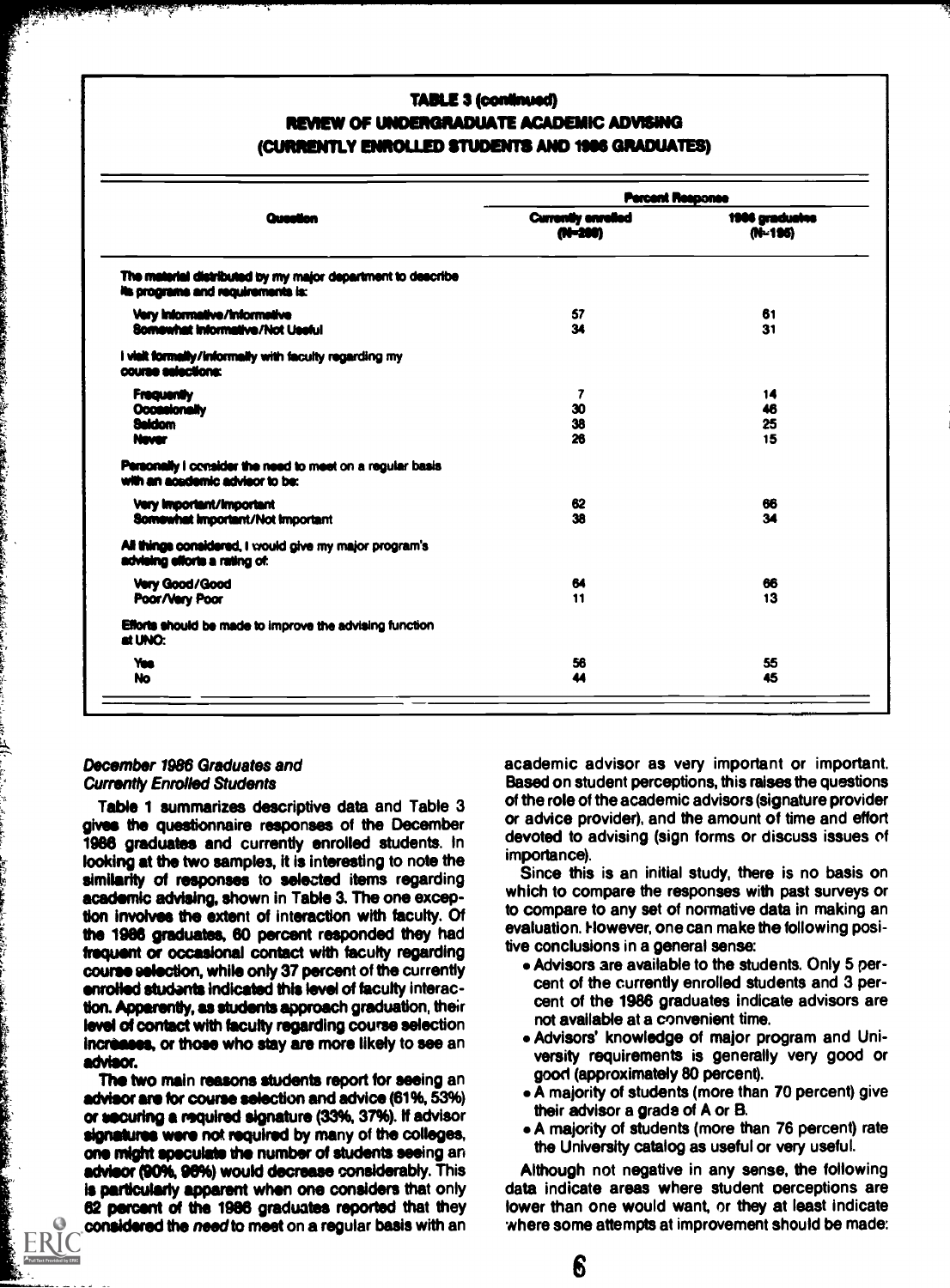### **TABLE 3 (continued)** REVIEW OF UNDERGRADUATE ACADEMIC ADVISING (CURRENTLY ENROLLED STUDENTS AND 1906 GRADUATES)

|                                                                                                  | <b>Percent Response</b>              |                           |  |
|--------------------------------------------------------------------------------------------------|--------------------------------------|---------------------------|--|
| Question                                                                                         | <b>Currently enrelled</b><br>AV-2001 | 1986 gradualne<br>(N-195) |  |
| The material distributed by my major department to describe<br>its programs and requirements is: |                                      |                           |  |
| Very Informative/Informative<br>Somewhat Informative/Not Useful                                  | 57<br>34                             | 61<br>31                  |  |
| I visit formally/informally with faculty regarding my<br>course selections:                      |                                      |                           |  |
| <b>Frequently</b><br>Occasionally<br><b>Saidom</b><br>Newer                                      | 7<br>30<br>38<br>26                  | 14<br>46<br>25<br>15      |  |
| Personally I consider the need to meet on a regular basis<br>with an academic advisor to be:     |                                      |                           |  |
| <b>Very Important/Important</b><br>Somewhat Important/Not Important                              | 62<br>38                             | 66<br>34                  |  |
| All things considered, I would give my major program's<br>advising efforts a rating of:          |                                      |                           |  |
| Very Good/Good<br>Poor/Very Poor                                                                 | 64<br>11                             | 66<br>13                  |  |
| Efforts should be made to improve the advising function<br>at UNO:                               |                                      |                           |  |
| <b>Yms</b><br><b>No</b>                                                                          | 56<br>44                             | 55<br>45                  |  |

#### December 1986 Graduates and **Currently Enrolled Students**

والتدين فالأمان

Table 1 summarizes descriptive data and Table 3 gives the questionnaire responses of the December 1986 graduates and currently enrolled students. In looking at the two samples, it is interesting to note the similarity of responses to selected items regarding academic advising, shown in Table 3. The one exception involves the extent of interaction with faculty. Of the 1986 graduates, 60 percent responded they had frequent or occasional contact with faculty regarding course selection, while only 37 percent of the currently enrolled studants indicated this level of faculty interaction. Apparently, as students approach graduation, their level of contact with faculty regarding course selection increases, or those who stay are more likely to see an advisor.

The two main reasons students report for seeing an advisor are for course selection and advice (61%, 53%) or securing a required signature (33%, 37%). If advisor signatures were not required by many of the colleges, one might speculate the number of students seeing an advisor (90%, 96%) would decrease considerably. This is particularly apparent when one considers that only 62 percent of the 1986 graduates reported that they considered the need to meet on a regular basis with an

academic advisor as very important or important. Based on student perceptions, this raises the questions of the role of the academic advisors (signature provider or advice provider), and the amount of time and effort devoted to advising (sign forms or discuss issues of importance).

Since this is an initial study, there is no basis on which to compare the responses with past surveys or to compare to any set of normative data in making an evaluation. However, one can make the following positive conclusions in a general sense:

- Advisors are available to the students. Only 5 percent of the currently enrolled students and 3 percent of the 1986 graduates indicate advisors are not available at a convenient time.
- . Advisors' knowledge of major program and University requirements is generally very good or good (approximately 80 percent).
- A majority of students (more than 70 percent) give their advisor a grade of A or B.
- A majority of students (more than 76 percent) rate the University catalog as useful or very useful.

Although not negative in any sense, the following data indicate areas where student perceptions are lower than one would want, or they at least indicate where some attempts at improvement should be made: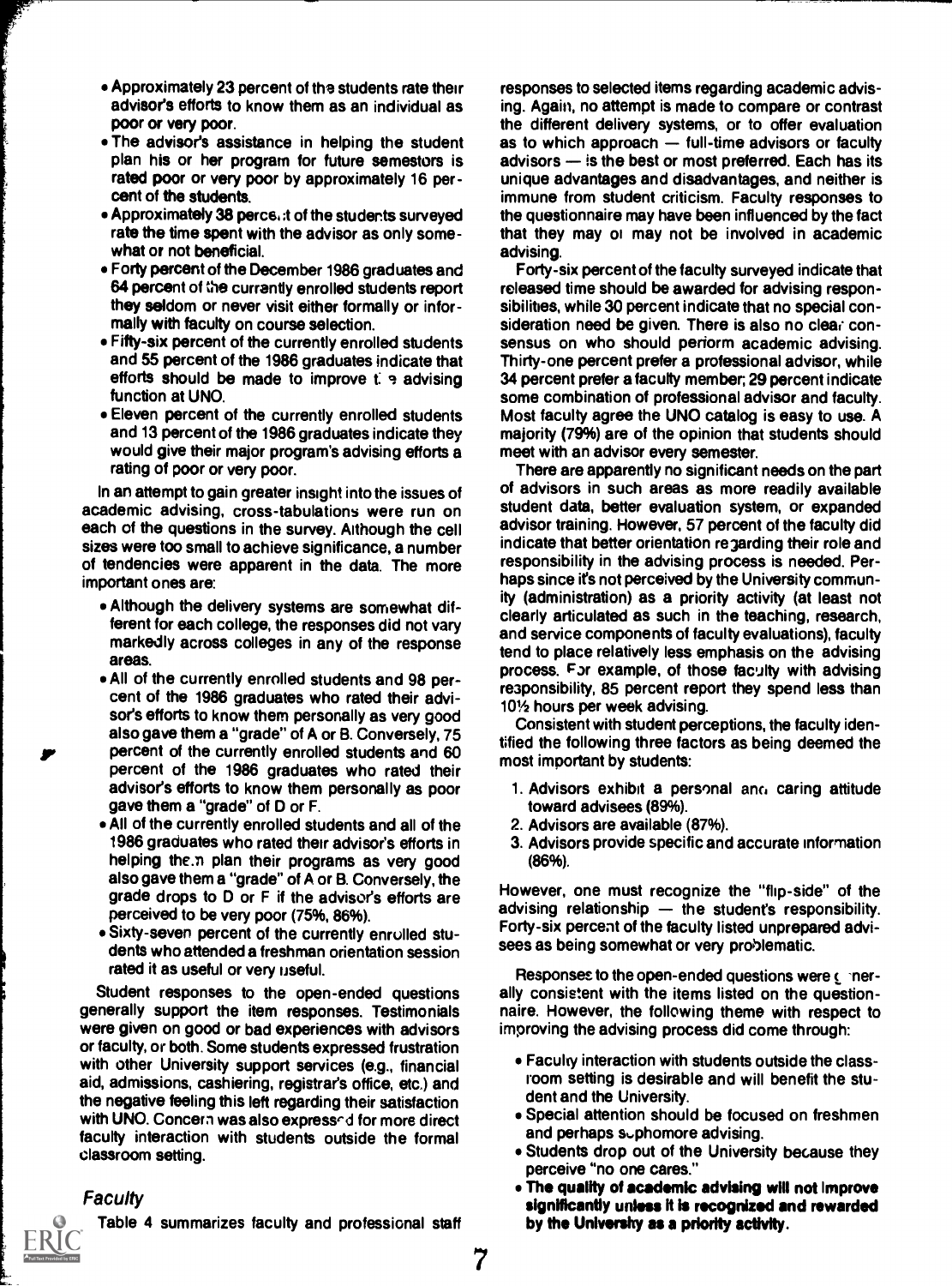- Approximately 23 percent of the students rate their advisor's efforts to know them as an individual as poor Or very poor.
- The advisor's assistance in helping the student plan his or her program for future semestors is rated poor or very poor by approximately 16 percent of the students.
- Approximately 38 perce, it of the students surveyed rate the time spent with the advisor as only somewhat or not beneficial.
- Forty percent of the December 1986 graduates and 64 percent of the currently enrolled students report they seldom or never visit either formally or informally with faculty on course selection.
- Fifty-six percent of the currently enrolled students and 55 percent of the 1986 graduates indicate that efforts should be made to improve  $t: \gamma$  advising function at UNO.
- Eleven percent of the currently enrolled students and 13 percent of the 1986 graduates indicate they would give their major program's advising efforts a rating of poor or very poor.

In an attempt to gain greater insight into the issues of academic advising, cross-tabulations were run on each of the questions in the survey. Although the cell sizes were too small to achieve significance, a number of tendencies were apparent in the data. The more important ones are:

- Although the delivery systems are somewhat different for each college, the responses did not vary markedly across colleges in any of the response areas.
- All of the currently enrolled students and 98 percent of the 1986 graduates who rated their advisor's efforts to know them personally as very good also gave them a "grade" of A or B. Conversely, 75 percent of the currently enrolled students and 60 percent of the 1986 graduates who rated their advisor's efforts to know them personally as poor gave them a "grade" of D or F.
- An of the currently enrolled students and all of the 1986 graduates who rated their advisor's efforts in helping the.n plan their programs as very good also gave them a "grade" of A or B. Conversely, the grade drops to D or F if the advisor's efforts are perceived to be very poor (75%, 86%).
- Sixty-seven percent of the currently enrolled students who attended a freshman orientation session rated it as useful or very useful.

Student responses to the open-ended questions generally support the item responses. Testimonials were given on good or bad experiences with advisors or faculty, or both. Some students expressed frustration with other University support services (e.g., financial aid, admissions, cashiering, registrar's office, etc.) and the negative feeling this left regarding their satisfaction with UNO. Concern was also expressed for more direct faculty interaction with students outside the formal classroom setting.

#### Faculty



Table 4 summarizes faculty and professional staff

responses to selected items regarding academic advising. Again, no attempt is made to compare or contrast the different delivery systems, or to offer evaluation as to which approach  $-$  full-time advisors or faculty advisors  $-$  is the best or most preferred. Each has its unique advantages and disadvantages, and neither is immune from student criticism. Faculty responses to the questionnaire may have been influenced by the fact that they may oi may not be involved in academic advising.

Forty-six percent of the faculty surveyed indicate that released time should be awarded for advising responsibilities, while 30 percent indicate that no special consideration need be given. There is also no clear consensus on who should perform academic advising. Thirty-one percent prefer a professional advisor, while 34 percent prefer a faculty member, 29 percent indicate some combination of professional advisor and faculty. Most faculty agree the UNO catalog is easy to use. A majority (79%) are of the opinion that students should meet with an advisor every semester.

There are apparently no significant needs on the part of advisors in such areas as more readily available student data, better evaluation system, or expanded advisor training. However, 57 percent of the faculty did indicate that better orientation regarding their role and responsibility in the advising process is needed. Perhaps since it's not perceived by the University community (administration) as a priority activity (at least not clearly articulated as such in the teaching, research, and service components of faculty evaluations), faculty tend to place relatively less emphasis on the advising process. Far example, of those faculty with advising re3ponsibility, 85 percent report they spend less than 101/2 hours per week advising.

Consistent with student perceptions, the faculty identified the following three factors as being deemed the most important by students:

- 1. Advisors exhibit a personal am, caring attitude toward advisees (89%).
- 2. Advisors are available (87%).
- 3. Advisors provide specific and accurate information (86%).

However, one must recognize the "flip-side" of the advising relationship  $-$  the student's responsibility. Forty-six percent of the faculty listed unprepared advisees as being somewhat or very problematic.

Responses to the open-ended questions were  $f$  'nerally consistent with the items listed on the questionnaire. However, the following theme with respect to improving the advising process did come through:

- Faculty interaction with students outside the classroom setting is desirable and will benefit the student and the University.
- Special attention should be focused on freshmen and perhaps suphomore advising.
- Students drop out of the University because they perceive "no one cares."
- The quality of academic advising will not Improve significantly unless ft is recognized and rewarded by the Univershy as a priority activity.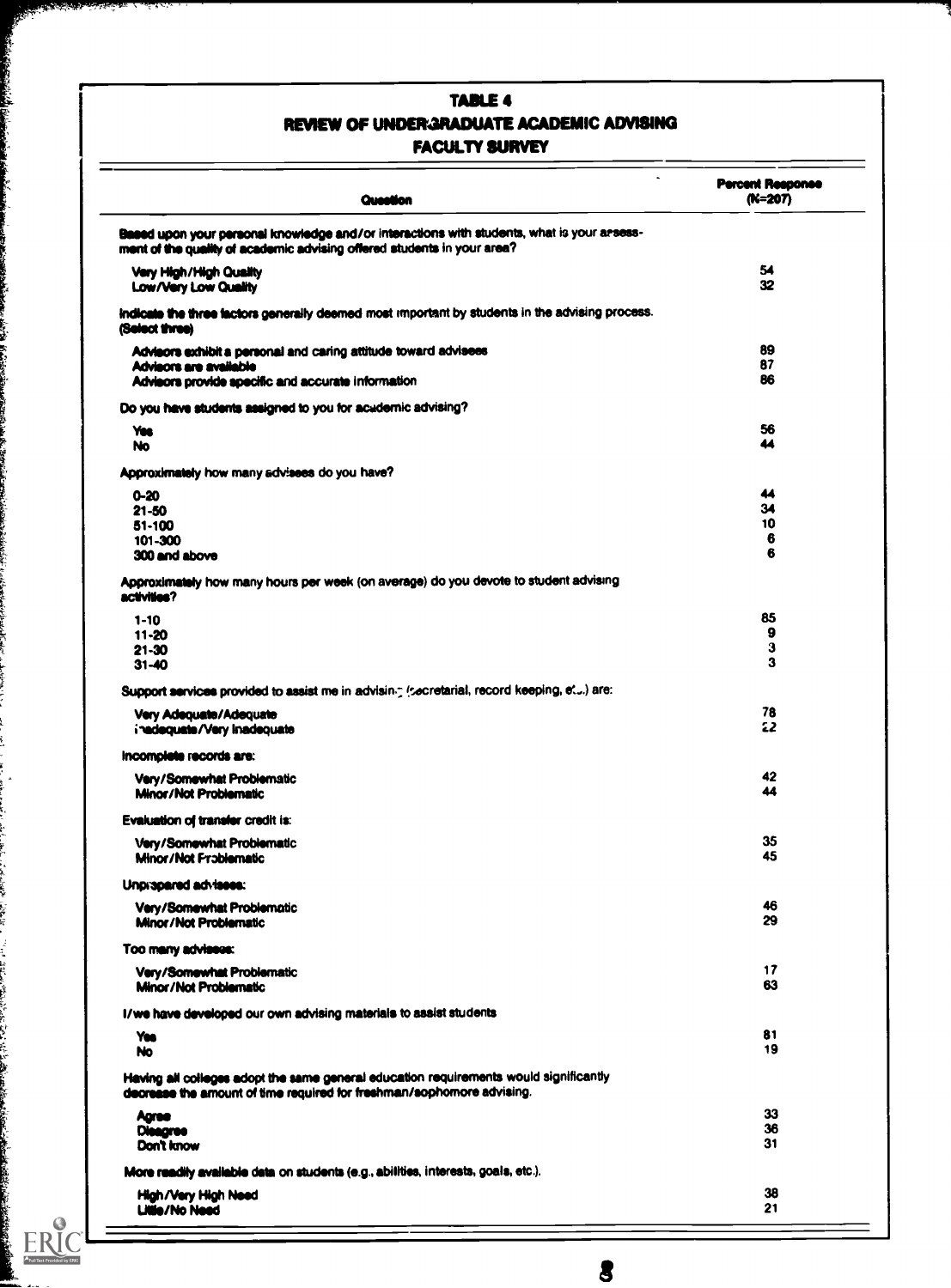## TABLE 4 REVIEW OF UNDERGRADUATE ACADEMIC ADVISING FACULTY SURVEY

k

į

i<br>Na

ERIC

| Question                                                                                                                                                              | <b>Percent Response</b><br>(N=207) |
|-----------------------------------------------------------------------------------------------------------------------------------------------------------------------|------------------------------------|
| Based upon your personal knowledge and/or interactions with students, what is your arsess-<br>ment of the quality of academic advising offered students in your area? |                                    |
| Very High/High Quality<br><b>Low/Very Low Quality</b>                                                                                                                 | 54<br>32                           |
| indicate the three factors generally deemed most important by students in the advising process.<br>(Select three)                                                     |                                    |
| Advisors exhibit a personal and caring attitude toward advisees<br>Advisors are available                                                                             | 89<br>87                           |
| Advisors provide specific and accurate information                                                                                                                    | 86                                 |
| Do you have students assigned to you for acudernic advising?                                                                                                          |                                    |
| Yes<br>No                                                                                                                                                             | 56<br>44                           |
| Approximately how many advisees do you have?                                                                                                                          |                                    |
| 0-20                                                                                                                                                                  | 44<br>34                           |
| $21 - 50$<br>51-100                                                                                                                                                   | 10                                 |
| 101-300<br>300 and above                                                                                                                                              | 6<br>6                             |
| Approximately how many hours per week (on average) do you devote to student advising                                                                                  |                                    |
| activities?                                                                                                                                                           |                                    |
| $1 - 10$<br>11-20                                                                                                                                                     | 85<br>9                            |
| 21-30                                                                                                                                                                 | 3                                  |
| $31 - 40$                                                                                                                                                             | 3                                  |
| Support services provided to assist me in advising (secretarial, record keeping, et) are:                                                                             |                                    |
| Very Adequate/Adequate<br>inadequate/Very Inadequate                                                                                                                  | 78<br>22                           |
| Incomplete records are:                                                                                                                                               |                                    |
| Very/Somewhat Problematic<br>Minor/Not Problematic                                                                                                                    | 42<br>44                           |
| <b>Evaluation of transfer credit is:</b>                                                                                                                              |                                    |
| Very/Somewhat Problematic<br><b>Minor/Not Frablematic</b>                                                                                                             | 35<br>45                           |
| Unpropered advisees:                                                                                                                                                  |                                    |
| <b>Very/Somewhat Problematic</b><br>Minor/Not Problematic                                                                                                             | 46<br>29                           |
| Too many advisees:                                                                                                                                                    |                                    |
| Very/Somewhat Problematic<br>Minor/Not Problematic                                                                                                                    | 17<br>63                           |
| I/we have developed our own advising materials to assist students                                                                                                     |                                    |
| Yes<br>No                                                                                                                                                             | 81<br>19                           |
| Having all colleges adopt the same general education requirements would significantly<br>decrease the amount of time required for freshman/sophomore advising.        |                                    |
| Agree                                                                                                                                                                 | 33                                 |
| <b>Dieagree</b>                                                                                                                                                       | 36<br>31                           |
| Don't know                                                                                                                                                            |                                    |
| More readily available data on students (e.g., abilities, interests, goals, etc.).                                                                                    |                                    |
| High/Very High Need<br><b>Litie/No Need</b>                                                                                                                           | 38<br>21                           |

 $\bullet$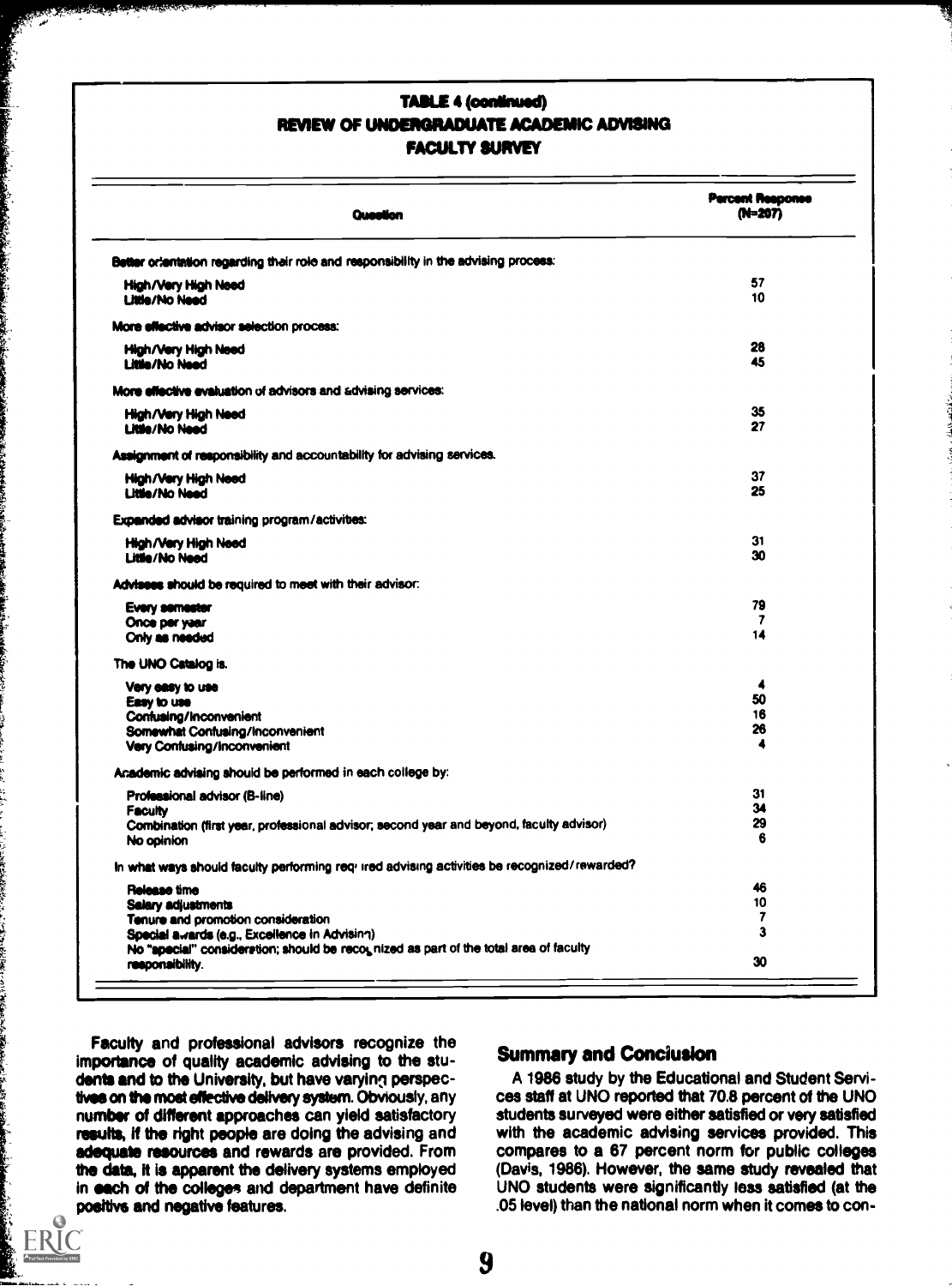### TABLE 4 (continued) REVIEW OF UNDERGRADUATE ACADEMIC ADVISING FACULTY SURVEY

| Question                                                                                                                                                                                                           | <b>Percent Response</b><br>(N=207)  |
|--------------------------------------------------------------------------------------------------------------------------------------------------------------------------------------------------------------------|-------------------------------------|
| Better orientation regarding their role and responsibility in the advising process:                                                                                                                                |                                     |
| High/Very High Need<br><b>Little/No Need</b>                                                                                                                                                                       | 57<br>10                            |
| More effective advisor selection process:                                                                                                                                                                          |                                     |
| High/Very High Need<br>Little/No Need                                                                                                                                                                              | 28<br>45                            |
| More effective evaluation of advisors and advising services:                                                                                                                                                       |                                     |
| High/Very High Need<br>Little/No Need                                                                                                                                                                              | 35<br>27                            |
| Assignment of responsibility and accountability for advising services.                                                                                                                                             |                                     |
| High/Very High Need<br>Little/No Need                                                                                                                                                                              | 37<br>25                            |
| Expanded advisor training program/activities:                                                                                                                                                                      |                                     |
| <b>High/Very High Need</b><br><b>Litile/No Need</b>                                                                                                                                                                | 31<br>30                            |
| Advisees should be required to meet with their advisor:                                                                                                                                                            |                                     |
| <b>Every semester</b><br>Once per year<br>Only as needed                                                                                                                                                           | 79<br>$\overline{\mathbf{z}}$<br>14 |
| The UNO Catalog is.                                                                                                                                                                                                |                                     |
| Very easy to use<br>Easy to use<br>Confusing/Inconvenient<br>Somewhat Confusing/Inconvenient<br>Very Confusing/Inconvenient                                                                                        | 4<br>50<br>16<br>26<br>4            |
| Academic advising should be performed in each college by:                                                                                                                                                          |                                     |
| Professional advisor (B-line)<br><b>Faculty</b><br>Combination (first year, professional advisor, second year and beyond, faculty advisor)<br>No opinion                                                           | 31<br>34<br>29<br>6                 |
| In what ways should faculty performing req- ired advising activities be recognized/rewarded?                                                                                                                       |                                     |
| Release time<br>Salary adjustments<br>Tenure and promotion consideration<br>Special awards (e.g., Excellence in Advising)<br>No "special" consideration; should be recognized as part of the total area of faculty | 46<br>10<br>7<br>3                  |
| responsibility.                                                                                                                                                                                                    | 30                                  |

Faculty and professional advisors recognize the importance of quality academic advising to the students and to the University, but have varying perspectives on the most effective delivery system. Obviously, any number of different approaches can yield satisfactory results, if the right people are doing the advising and adequate resources and rewards are provided. From the data, it is apparent the delivery systems employed in each of the colleges and department have definite positive and negative features.

ر<br>مواقعة مقاومة

A CONTRACTOR AND A CONTRACTOR CONTRACTOR

えんきょう こうしゅう あんこあ キャランド あた

 $\mathbf \Omega$ ERI<sup>(</sup>

## Summary and Conciusion

A 1986 study by the Educational and Student Services staff at UNO reported that 70.8 percent of the UNO students surveyed were either satisfied or very satisfied with the academic advising services provided. This compares to a 67 percent norm for public colleges (Davis, 1986). However, the same study revealed that UNO students were significantly less satisfied (at the .05 level) than the national norm when it comes to con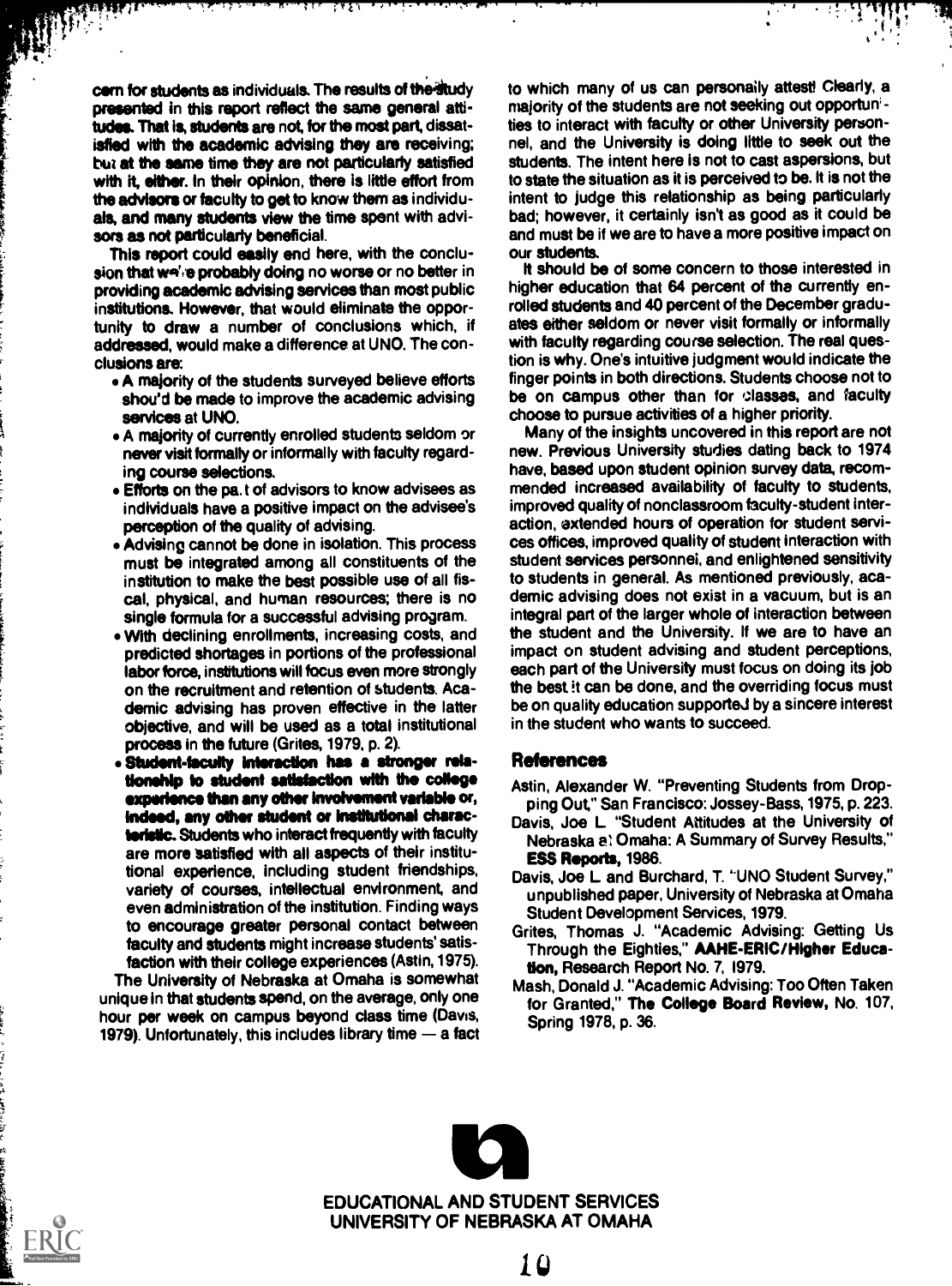cern for students as individuals. The results of the study presented in this report reflect the same general attitudes. That is, students are not, for the most part, dissatisfied with the academic advising they are receiving; bur at the same time they are not particularly satisfied with it, either. In their opinion, there is little effort from the advisors or faculty to get to know them as individuals, and many students view the time spent with advisors as not particularly beneficial.

7983

W)

This report could easily end here, with the conclusion that wa' e probably doing no worse or no better in providing academic advising services than most public institutions. However, that would eliminate the opportunity to draw a number of conclusions which, if addressed, would make a difference at UNO. The conclusions are:

- A majority of the students surveyed believe efforts shou'd be made to improve the academic advising services at UNO.
- A majority of currently enrolled students seldom or never visit formally or informally with faculty regarding course selections.
- Efforts on the pa. t of advisors to know advisees as individuals have a positive impact on the advisee's perception of the quality of advising.
- Advising cannot be done in isolation. This process must be integrated among all constituents of the institution to make the best possible use of all fiscal, physical, and human resources; there is no single formula for a successful advising program.
- With declining enrollments, increasing costs, and predicted shortages in portions of the professional labor force, institutions will focus even more strongly on the recruitment and retention of students. Academic advising has proven effective in the latter objective, and will be used as a total institutional process in the future (Grites, 1979, p. 2).
- Student-faculty interaction has a stronger relationship to student satisfaction with the college experience than any other involvement variable or, indeed, any other student or institutional characteristic. Students who interact frequently with faculty are more satisfied with all aspects of their institutional experience, including student friendships, variety of courses, intellectual environment, and even administration of the institution. Finding ways to encourage greater personal contact between faculty and students might increase students' satisfaction with their college experiences (Astin, 1975).

The University of Nebraska at Omaha is somewhat unique in that students spend, on the average, only one hour per week on campus beyond class time (Davis, 1979). Unfortunately, this includes library time  $-$  a fact to which many of us can personally attest! Clearly, a majority of the students are not seeking out opportunities to interact with faculty or other University personnel, and the University is doing little to seek out the students. The intent here is not to cast aspersions, but to state the situation as it is perceived to be. It is not the intent to judge this relationship as being particularly bad; however, it certainly isn't as good as it could be and must be if we are to have a more positive impact on our students.

It should be of some concern to those interested in higher education that 64 percent of the currently enrolled students and 40 percent of the December graduates either seldom or never visit formally or informally with faculty regarding course selection. The real question is why. One's intuitive judgment would indicate the finger points in both directions. Students choose not to be on campus other than for classes, and faculty choose to pursue activities of a higher priority.

Many of the insights uncovered in this report are not new. Previous University studies dating back to 1974 have, based upon student opinion survey data, recommended increased availability of faculty to students, improved quality of nonclassroom faculty-student interaction, extended hours of operation for student services offices, improved quality of student interaction with student services personnel, and enlightened sensitivity to students in general. As mentioned previously, academic advising does not exist in a vacuum, but is an integral part of the larger whole of interaction between the student and the University. If we are to have an impact on student advising and student perceptions, each part of the University must focus on doing its job the best it can be done, and the overriding focus must be on quality education supporteJ by a sincere interest in the student who wants to succeed.

#### References

- Astin, Alexander W. "Preventing Students from Dropping Out," San Francisco: Jossey-Bass, 1975, P. 223.
- Davis, Joe L "Student Attitudes at the University of Nebraska 21 Omaha: A Summary of Survey Results," ESS Reports, 1986.
- Davis, Joe L and Burchard, T. "UNO Student Survey," unpublished paper, University of Nebraska at Omaha Student Development Services, 1979.
- Grites, Thomas J. "Academic Advising: Getting Us Through the Eighties," AAHE-ERIC/Higher Education, Research Report No. 7, 1979.
- Mash, Donald J. "Academic Advising: Too Often Taken for Granted," The College Board Review, No. 107, Spring 1978, p. 36.